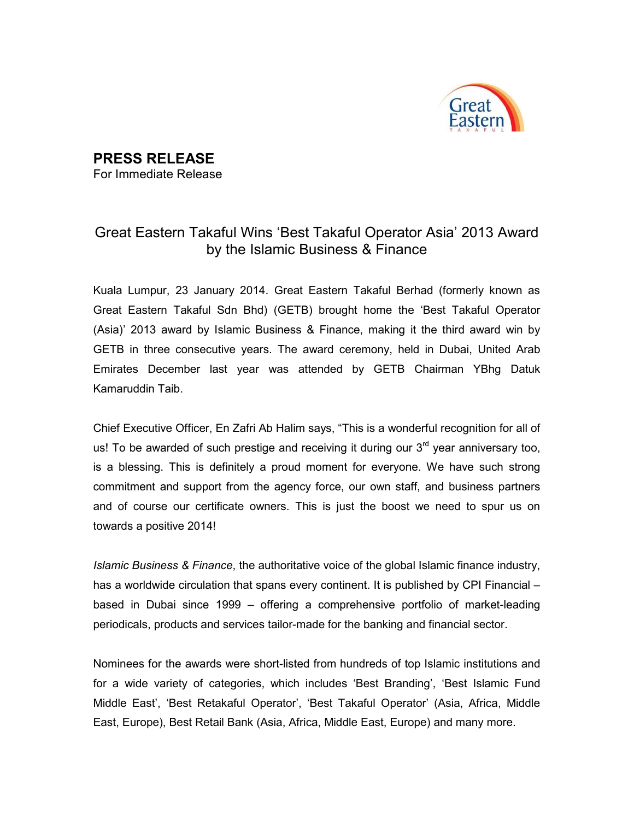

## PRESS RELEASE

For Immediate Release

## Great Eastern Takaful Wins 'Best Takaful Operator Asia' 2013 Award by the Islamic Business & Finance

Kuala Lumpur, 23 January 2014. Great Eastern Takaful Berhad (formerly known as Great Eastern Takaful Sdn Bhd) (GETB) brought home the 'Best Takaful Operator (Asia)' 2013 award by Islamic Business & Finance, making it the third award win by GETB in three consecutive years. The award ceremony, held in Dubai, United Arab Emirates December last year was attended by GETB Chairman YBhg Datuk Kamaruddin Taib.

Chief Executive Officer, En Zafri Ab Halim says, "This is a wonderful recognition for all of us! To be awarded of such prestige and receiving it during our  $3<sup>rd</sup>$  year anniversary too, is a blessing. This is definitely a proud moment for everyone. We have such strong commitment and support from the agency force, our own staff, and business partners and of course our certificate owners. This is just the boost we need to spur us on towards a positive 2014!

Islamic Business & Finance, the authoritative voice of the global Islamic finance industry, has a worldwide circulation that spans every continent. It is published by CPI Financial – based in Dubai since 1999 – offering a comprehensive portfolio of market-leading periodicals, products and services tailor-made for the banking and financial sector.

Nominees for the awards were short-listed from hundreds of top Islamic institutions and for a wide variety of categories, which includes 'Best Branding', 'Best Islamic Fund Middle East', 'Best Retakaful Operator', 'Best Takaful Operator' (Asia, Africa, Middle East, Europe), Best Retail Bank (Asia, Africa, Middle East, Europe) and many more.